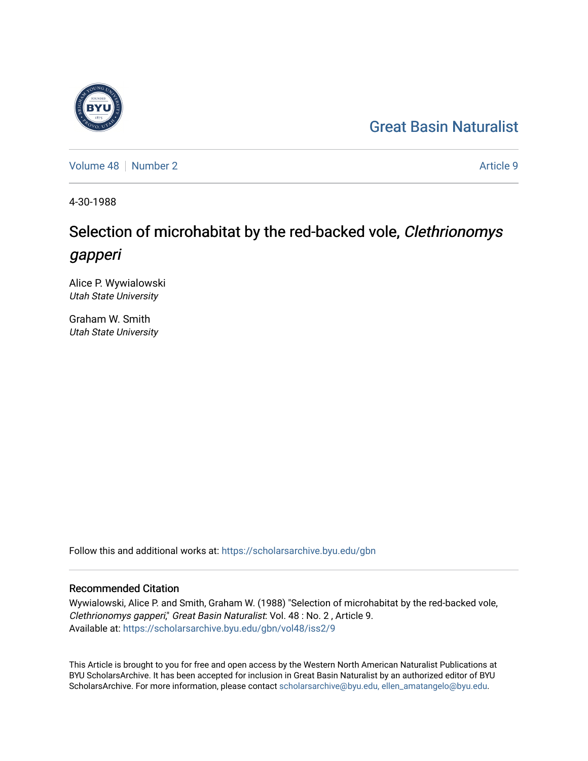## [Great Basin Naturalist](https://scholarsarchive.byu.edu/gbn)

[Volume 48](https://scholarsarchive.byu.edu/gbn/vol48) [Number 2](https://scholarsarchive.byu.edu/gbn/vol48/iss2) Article 9

4-30-1988

# Selection of microhabitat by the red-backed vole, Clethrionomys gapperi

Alice P. Wywialowski Utah State University

Graham W. Smith Utah State University

Follow this and additional works at: [https://scholarsarchive.byu.edu/gbn](https://scholarsarchive.byu.edu/gbn?utm_source=scholarsarchive.byu.edu%2Fgbn%2Fvol48%2Fiss2%2F9&utm_medium=PDF&utm_campaign=PDFCoverPages) 

### Recommended Citation

Wywialowski, Alice P. and Smith, Graham W. (1988) "Selection of microhabitat by the red-backed vole, Clethrionomys gapperi," Great Basin Naturalist: Vol. 48 : No. 2 , Article 9. Available at: [https://scholarsarchive.byu.edu/gbn/vol48/iss2/9](https://scholarsarchive.byu.edu/gbn/vol48/iss2/9?utm_source=scholarsarchive.byu.edu%2Fgbn%2Fvol48%2Fiss2%2F9&utm_medium=PDF&utm_campaign=PDFCoverPages)

This Article is brought to you for free and open access by the Western North American Naturalist Publications at BYU ScholarsArchive. It has been accepted for inclusion in Great Basin Naturalist by an authorized editor of BYU ScholarsArchive. For more information, please contact [scholarsarchive@byu.edu, ellen\\_amatangelo@byu.edu.](mailto:scholarsarchive@byu.edu,%20ellen_amatangelo@byu.edu)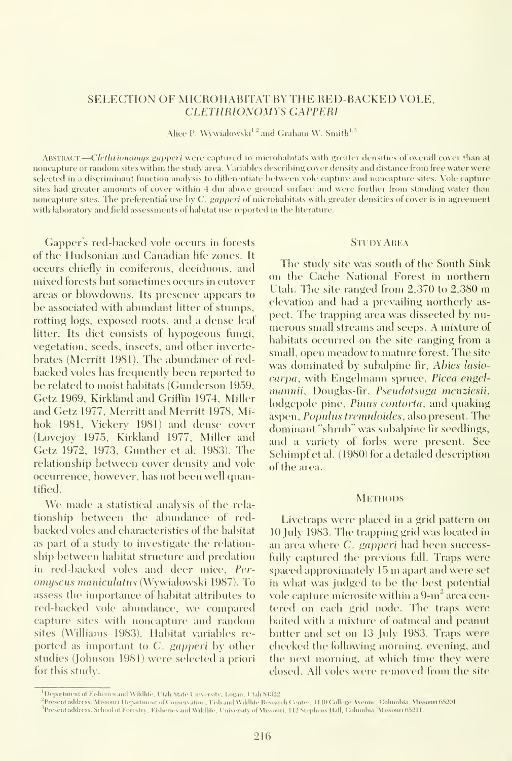#### SELECTION OF MICROHABITAT BY THE RED-BACKED VOLE, CLETHRIONOMYS GAPPERI

Alice P. Wywialowski  $^{\rm l}$  <sup>2</sup> and Graham W. Smith  $^{\rm l,3}$ 

ABSTRACT—Clethrionomus gapperi were captured in microhabitats with greater densities of overall cover than at noncapture or random sites within the study area. Variables describing cover density and distance from free water were selected in a discriminant function analysis to differentiate between vole capture and noncapture sites. Vole capture sites had greater amounts of cover within 4 dm above ground surface and were further from standing water than noncapture sites. The preferential use by C. gapperi of microhabitats with greater densities of cover is in agreement with laboratory and field assessments of habitat use reported in the literatiue.

Gapper's red-backed vole occurs in forests of the Hudsonian and Canadian life zones. It occurs chiefly in coniferous, deciduous, and mixed forests but sometimes occurs in cutover areas or blowdowns. Its presence appears to be associated with abundant litter of stumps, rotting logs, exposed roots, and a dense leaf litter. Its diet consists of hypogeous fungi, vegetation, seeds, insects, and other invertebrates (Merritt 1981). The abundance of redbacked voles has frequently been reported to be related to moist habitats (Gunderson 1959, Cetz 1969, Kirkland and Griffin 1974, Miller and Cetz 1977, Merritt and Merritt 1978, Mihok 1981, Vickerv 1981) and dense cover (Lovejoy 1975, Kirkland 1977, Miller and Cetz 1972, 1973, Gunther et al. 1983). The relationship between cover density and vole occurrence, however, has not been well quantified.

We made <sup>a</sup> statistical analysis of the rela tionship between the abundance of redbacked voles and characteristics of the habitat as part of a study to investigate the relation ship between habitat structure and predation in red-backed voles and deer mice, Pcr omyscus maniculatus (Wywialowski 1987). To assess the importance of habitat attributes to red-backed vole abimdance, we compared capture sites with noncapture and random sites (Williams 1983). Habitat variables re ported as important to  $C$ . *gapperi* by other studies (Johnson 1981) were selected a priori for this studv.

#### **STUDY AREA**

The study site was south of the South Sink on the Cache National Forest in northern Utah. The site ranged from 2,370 to 2,380 m elevation and had a prevailing northerly as pect. The trapping area was dissected by nu merous small streams and seeps. A mixture of habitats occurred on the site ranging from a small, open meadow to mature forest. The site was dominated by subalpine fir, Abies lasio carpa, with Engelmann spruce, Picea engelmannii, Douglas-fir, Pseudotsuga menziesii, lodgepole pine, Pinus contorta, and quaking aspen, Populus tremuloides, also present. The dominant "shrub" was subalpine fir seedlings, and a variety of forbs were present. See Schimpf et al. ( 1980) for a detailed description of the area.

#### **METHODS**

Livetraps were placed in a grid pattern on 10 July 1983. The trapping grid was located in an area where C. gapperi had been successfully captured the previous fall. Traps were spaced approximately 15 m apart and were set in what was judged to be the best potential vole capture microsite within a  $9\text{-m}^2$  area centered on each grid node. The traps were baited with a mixture of oatmeal and peanut butter and set on 13 July 1983. Traps were checked the following morning, evening, and the next morning, at which time they were closed. All voles were removed from the site

<sup>&</sup>lt;sup>1</sup>Department of Fisheries and Wildlife, Utah State University, Logan, Utah 84322.

Present address: Missouri Department of Conservation, Fish and Wildhfe Research Center. 1110 College Avenne, Cohnnbia, Missouri 65201. ' Present address: School of Forestr>-. Fisheries and Wildlife. University of Mi.ssouri, U2 Stepluns Hall, Columbia. Mi.ssouri 6.521 1.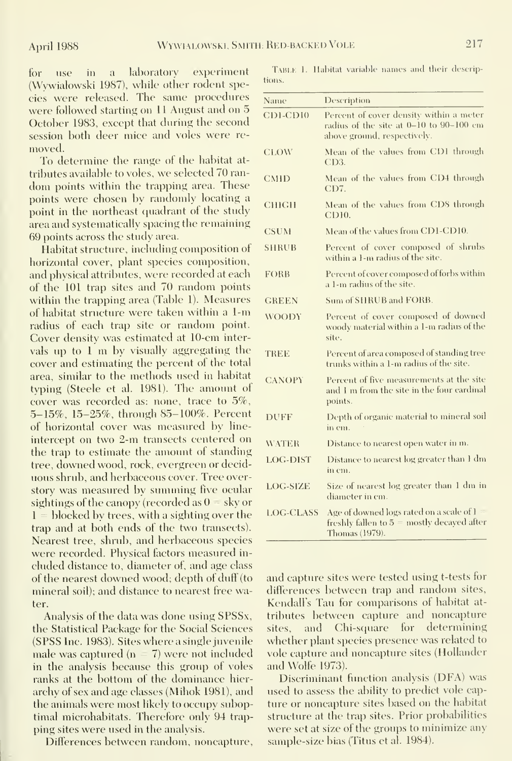for use in a laboratory experiment (Wywialowski 1987), while other rodent species were released. The same procedures were followed starting on 11 August and on 5 October 1983, except that during the second session both deer mice and voles were re moved.

To determine the range of the habitat at tributes available to voles, we selected 70 ran dom points within the trapping area. These points were chosen by randomly locating a point in the northeast quadrant of the study area and systematically spacing the remaining 69 points across the study area.

Habitat structure, including composition of horizontal cover, plant species composition, and physical attributes, were recorded at each of the 101 trap sites and 70 random points within the trapping area (Table 1). Measures of habitat structure were taken within a 1-m radius of each trap site or random point. Cover density was estimated at 10-cm intervals up to <sup>1</sup> m by visually aggregating the cover and estimating the percent of the total area, similar to the methods used in habitat typing (Steele et al. 1981). The amount of cover was recorded as: none, trace to 5%, 5-15%, 15-25%, through 85-100%. Percent of horizontal cover was measured by line intercept on two 2-m transects centered on the trap to estimate the amount of standing tree, downed wood, rock, evergreen or decid uous shrub, and herbaceous cover. Tree overstory was measured by summing five ocular sightings of the canopy (recorded as  $0 =$  sky or  $1 = 5$  blocked by trees, with a sighting over the trap and at both ends of the two transects). Nearest tree, shrub, and herbaceous species were recorded. Physical factors measured in cluded distance to, diameter of, and age class of the nearest downed wood; depth of duff (to mineral soil); and distance to nearest free water.

Analysis of the data was done using SPSSx, the Statistical Package for the Social Sciences (SPSS Inc. 1983). Sites where a single juvenile male was captured ( $n = 7$ ) were not included in the analysis because this group of voles ranks at the bottom of the dominance hier archy of sex and age classes (Mihok 1981), and the animals were most likely to occupy suboptimal microhabitats. Therefore only 94 trapping sites were used in the analysis.

Differences between random, noncapture.

TABLE 1. Habitat variable names and their descriptions.

| Name             | Description                                                                                                       |  |  |
|------------------|-------------------------------------------------------------------------------------------------------------------|--|--|
| CDI-CDI0         | Percent of cover density within a meter<br>radius of the site at 0-10 to 90-100 cm<br>above ground, respectively. |  |  |
| <b>CLOW</b>      | Mean of the values from CD1 through<br>CD3.                                                                       |  |  |
| <b>CMHD</b>      | Mean of the values from CD4 through<br>CD7.                                                                       |  |  |
| CHIGH            | Mean of the values from CDS through<br>CD <sub>10</sub> .                                                         |  |  |
| <b>CSUM</b>      | Mean of the values from CD1-CD10.                                                                                 |  |  |
| <b>SHRUB</b>     | Percent of cover composed of shrubs<br>within a 1-m radius of the site.                                           |  |  |
| FORB             | Percent of cover composed of forbs within<br>a 1-m radius of the site.                                            |  |  |
| <b>GREEN</b>     | Sum of SHRUB and FORB.                                                                                            |  |  |
| <b>WOODY</b>     | Percent of cover composed of downed<br>woody material within a 1-m radius of the<br>site.                         |  |  |
| <b>TREE</b>      | Percent of area composed of standing tree<br>trunks within a 1-m radius of the site.                              |  |  |
| <b>CANOPY</b>    | Percent of five measurements at the site<br>and I m from the site in the four eardinal<br>points.                 |  |  |
| <b>DUFF</b>      | Depth of organic material to mineral soil<br>in em.                                                               |  |  |
| <b>WATER</b>     | Distance to nearest open water in m.                                                                              |  |  |
| LOG-DIST         | Distance to nearest log greater than 1 dm<br>in em.                                                               |  |  |
| <b>LOG-SIZE</b>  | Size of nearest log greater than 1 dm in<br>diameter in cm.                                                       |  |  |
| <b>LOG-CLASS</b> | Age of downed logs rated on a scale of 1<br>freshly fallen to 5 = mostly decayed after<br>Thomas (1979).          |  |  |

and capture sites were tested using t-tests for differences between trap and random sites, Kendall's Tan for comparisons of habitat at tributes between capture and noncapture sites, and Chi-square for determining whether plant species presence was related to vole captine and noncapture sites (Hollander and Wolfe 1973).

Discriminant function analysis (DFA) was used to assess the ability to predict vole capture or noncapture sites based on the habitat structure at the trap sites. Prior probabilities were set at size of the groups to minimize any sample-size bias (Titus et al. 1984).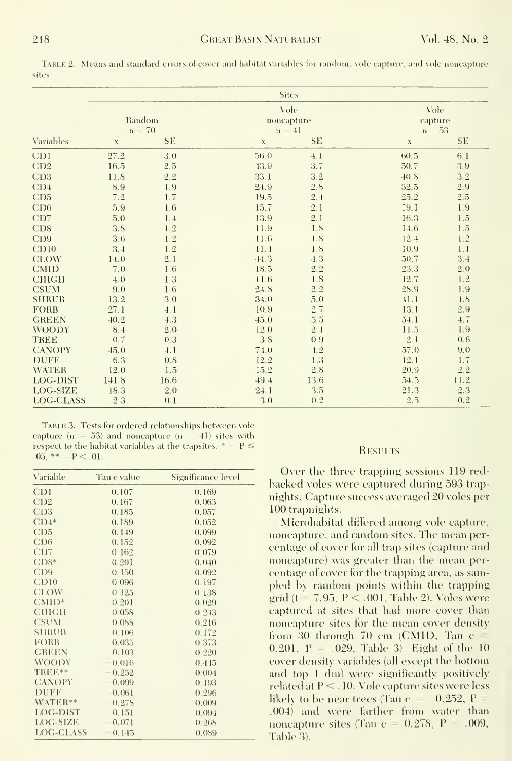TABLE 2. Means and standard errors of cover and habitat variables for random, vole capture, and vole noncapture<br>sites.

|                  |             |           | <b>Sites</b> |           |              |           |  |
|------------------|-------------|-----------|--------------|-----------|--------------|-----------|--|
|                  |             |           | Vole         |           | Vole         |           |  |
|                  |             | Random    | noncapture   |           |              | capture   |  |
|                  |             | $n = 70$  | $n = 41$     |           | $\mathbf{n}$ | 53        |  |
| Variables        | $\mathbf X$ | <b>SE</b> | $\mathbf X$  | <b>SE</b> | $\mathbf X$  | <b>SE</b> |  |
| C <sub>D</sub> 1 | 27.2        | 3.0       | 56.0         | 4.1       | 60.5         | 6.1       |  |
| CD2              | 16.5        | 2.5       | 43.9         | 3.7       | 50.7         | 3.9       |  |
| CD3              | 11.8        | 2.2       | 33.1         | 3.2       | 40.8         | 3.2       |  |
| CD <sub>4</sub>  | $8.9\,$     | 1.9       | 24.9         | 2.8       | 32.5         | $2.9\,$   |  |
| CD5              | 7.2         | 1.7       | 19.5         | 2.4       | 25.2         | 2.5       |  |
| CD6              | 5.9         | 1.6       | 15.7         | 2.1       | 19.1         | 1.9       |  |
| CD7              | 5.0         | 1.4       | 13.9         | 2.1       | 16.3         | 1.5       |  |
| CD <sub>8</sub>  | 3.8         | 1.2       | 11.9         | 1.8       | 14.6         | 1.5       |  |
| CD9              | 3.6         | 1.2       | 11.6         | 1.8       | 12.4         | 1.2       |  |
| CD10             | 3.4         | 1.2       | 11.4         | 1.8       | 10.9         | 1.1       |  |
| <b>CLOW</b>      | 14.0        | 2.1       | 44.3         | 4.3       | 50.7         | 3.4       |  |
| <b>CMID</b>      | 7.0         | 1.6       | 18.5         | $2.2\,$   | 23.3         | 2.0       |  |
| <b>CHIGH</b>     | 4.0         | 1.3       | 11.6         | 1.8       | 12.7         | 1.2       |  |
| <b>CSUM</b>      | 9.0         | 1.6       | 24.8         | 2.2       | 28.9         | 1.9       |  |
| <b>SHRUB</b>     | 13.2        | 3.0       | 34.0         | 5.0       | 41.1         | 4.8       |  |
| <b>FORB</b>      | 27.1        | 4.1       | 10.9         | 2.7       | 13.1         | 2.9       |  |
| <b>GREEN</b>     | 40.2        | 4.3       | 45.0         | 5.5       | 54.1         | 4.7       |  |
| <b>WOODY</b>     | 8.4         | 2.0       | 12.0         | 2.1       | 11.5         | 1.9       |  |
| <b>TREE</b>      | 0.7         | 0.3       | 3.8          | 0.9       | 2.1          | 0, 6      |  |
| <b>CANOPY</b>    | 45.0        | 4.1       | 74.0         | 4.2       | 57.0         | 9.0       |  |
| <b>DUFF</b>      | 6.3         | 0.8       | 12.2         | 1.3       | 12.1         | 1.7       |  |
| <b>WATER</b>     | 12.0        | 1.5       | 15.2         | 2.8       | 20.9         | 2.2       |  |
| LOG-DIST         | 141.8       | 16.6      | 49.4         | 13.6      | 54.5         | 11.2      |  |
| LOG-SIZE         | 18.3        | 2.0       | 24.1         | 3.5       | 21.3         | 2.3       |  |
| LOG-CLASS        | 2.3         | 0.1       | 3.0          | 0.2       | 2.5          | 0.2       |  |

TABLE 3. Tests for ordered relationships between vole capture ( $n = 53$ ) and noneapture ( $n = 41$ ) sites with respect to the habitat variables at the trapsites.  $* = P \le$  $.05, ** = P < .01.$ 

| Variable                    | Tau e value | Significance level |
|-----------------------------|-------------|--------------------|
| CD1                         | 0.107       | 0.169              |
| CD2                         | 0.167       | 0.063              |
| C <sub>D</sub> 3            | 0.185       | 0.057              |
| $CD4*$                      | 0.189       | 0.052              |
| C <sub>D</sub> <sub>5</sub> | 0.149       | 0.099              |
| CD6                         | 0.152       | 0.092              |
| CD7                         | 0.162       | 0.079              |
| $CDS^*$                     | 0.201       | 0.040              |
| C <sub>D</sub> <sub>9</sub> | 0.150       | 0.092              |
| CD10                        | 0.096       | 0.197              |
| CLOW                        | 0.125       | 0.138              |
| $CMID*$                     | 0.201       | 0.029              |
| CHIGH                       | 0.055       | 0.243              |
| <b>CSUM</b>                 | 0.088       | 0.216              |
| <b>S1IRUB</b>               | 0.106       | 0.172              |
| FORB                        | 0.035       | 0.373              |
| <b>GREEN</b>                | 0.103       | 0.220              |
| <b>WOODY</b>                | 0.016       | 0.445              |
| TREE**                      | 0.252       | 0.004              |
| <b>CANOPY</b>               | 0.099       | 0.193              |
| <b>DUFF</b>                 | 0.061       | 0.296              |
| WATER**                     | 0.278       | 0.009              |
| LOG-DIST                    | 0.151       | 0.094              |
| LOG-SIZE                    | 0.071       | 0.268              |
| LOG-CLASS                   | 0.145       | 0.089              |

#### **RESULTS**

Over the three trapping sessions 119 redbacked voles were captured during 593 trapnights. Capture success averaged 20 voles per 100 trapnights.

Microhabitat differed among vole capture, noncapture, and random sites. The mean percentage of cover for all trap sites (capture and noncapture) was greater than the mean percentage of cover for the trapping area, as sampled by random points within the trapping grid ( $t = 7.95$ ,  $P < .001$ , Table 2). Voles were captured at sites that had more cover than noncapture sites for the mean cover density from 30 through 70 cm (CMID, Tau  $c =$  $0.201$ , P = .029, Table 3). Eight of the 10 cover density variables (all except the bottom and top 1 dm) were significantly positively related at P < . 10. Vole capture sites were less likely to be near trees (Tau  $e = -0.252$ , P .004) and were farther from water than noncapture sites (Tau  $c = 0.278$ ,  $P = .009$ , Table 3).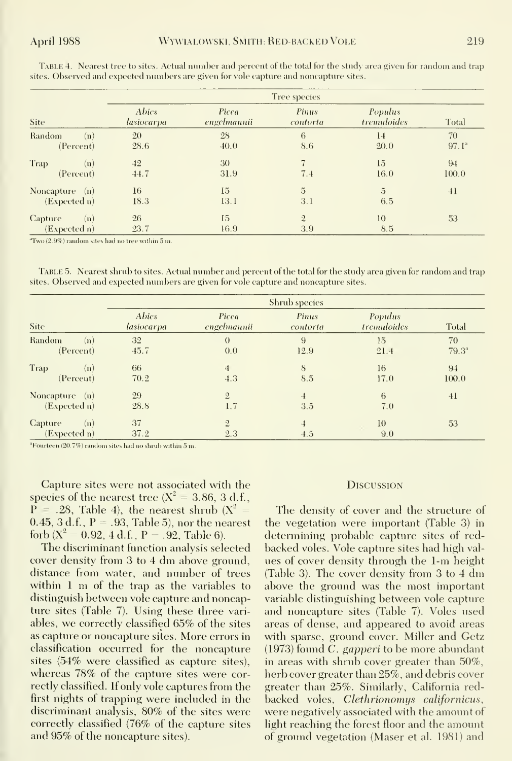|                  | Tree species                      |                      |                   |                        |                |
|------------------|-----------------------------------|----------------------|-------------------|------------------------|----------------|
| Site             | <b>Abies</b><br><i>lasiocarpa</i> | Picea<br>engelmannii | Pinus<br>contorta | Populus<br>tremuloides | Total          |
| Random<br>(n)    | 20                                | 28                   | 6                 | 14                     | 70             |
| (Percent)        | 28.6                              | 40.0                 | 8.6               | 20.0                   | $97.1^{\circ}$ |
| Trap<br>(n)      | 42                                | 30                   | $\overline{7}$    | 15                     | 94             |
| (Percent)        | 44.7                              | 31.9                 | 7.4               | 16.0                   | 100.0          |
| Noncapture $(n)$ | 16                                | 15                   | $\overline{5}$    | $\overline{5}$         | 41             |
| (Expected n)     | 18.3                              | 13.1                 | 3.1               | 6.5                    |                |
| Capture<br>(n)   | 26                                | 15                   | $\overline{2}$    | 10                     | 53             |
| (Expected n)     | 23.7                              | 16.9                 | 3.9               | 8.5                    |                |

TABLE 4. Nearest tree to sites. Actual number and percent of the total for the study area given for random and trap sites. Observed and expected numbers are given for vole capture and noncapture sites.

"Two (2.9%) random sites had no tree within 5 m

TABLE 5. Nearest shrub to sites. Actual number and percent of the total for the study area given for random and trap sites. Observed and expected numbers are given for vole capture and noncapture sites.

|                                     | Shrub species              |                       |                   |                               |                      |
|-------------------------------------|----------------------------|-----------------------|-------------------|-------------------------------|----------------------|
| Site:                               | <b>Abies</b><br>lasiocarpa | Picea<br>engelmannii  | Pinus<br>contorta | <b>Populus</b><br>tremuloides | Total                |
| Random<br>(n)<br>(Percent)          | 32<br>45.7                 | $\theta$<br>0.0       | 9<br>12.9         | 15<br>21.4                    | 70<br>$79.3^{\circ}$ |
| Trap<br>(n)<br>(Percent)            | 66<br>70.2                 | $\overline{4}$<br>4.3 | 8<br>8.5          | 16<br>17.0                    | 94<br>100.0          |
| Noncapture<br>— (n)<br>(Expected n) | 29<br>28.8                 | $\overline{2}$<br>1.7 | 3.5               | 6<br>7.0                      | 41                   |
| Capture<br>(n)<br>(Expected n)      | 37<br>37.2                 | $\overline{2}$<br>2.3 | 4.5               | 10<br>9.0                     | 53                   |

<sup>a</sup>Fourteen (20.7%) random sites had no shrub within 5 m.

Capture sites were not associated with the species of the nearest tree  $(X^2 = 3.86, 3 d.f.,$  $P = .28$ , Table 4), the nearest shrub ( $X^2 =$  $(0.45, 3 d.f., P = .93, Table 5)$ , nor the nearest forb  $(X^2 = 0.92, 4 d.f., P = .92, Table 6).$ 

The discriminant function analysis selected cover density from 3 to 4 dm above ground. distance from water, and number of trees within  $1 \text{ m}$  of the trap as the variables to distinguish between vole capture and noncapture sites (Table 7). Using these three variables, we correctly classified 65% of the sites as capture or noncapture sites. More errors in classification occurred for the noncapture sites (54% were classified as capture sites), whereas 78% of the capture sites were correctly classified. If only vole captures from the first nights of trapping were included in the discriminant analysis, 80% of the sites were correctly classified (76% of the capture sites and 95% of the noncapture sites).

#### **DISCUSSION**

The density of cover and the structure of the vegetation were important (Table 3) in determining probable capture sites of redbacked voles. Vole capture sites had high values of cover density through the 1-m height (Table 3). The cover density from 3 to 4 dm above the ground was the most important variable distinguishing between vole capture and noncapture sites (Table 7). Voles used areas of dense, and appeared to avoid areas with sparse, ground cover. Miller and Getz (1973) found C. gapperi to be more abundant in areas with shrub cover greater than 50%, herb cover greater than 25%, and debris cover greater than 25%. Similarly, California redbacked voles, Clethrionomys californicus, were negatively associated with the amount of light reaching the forest floor and the amount of ground vegetation (Maser et al. 1981) and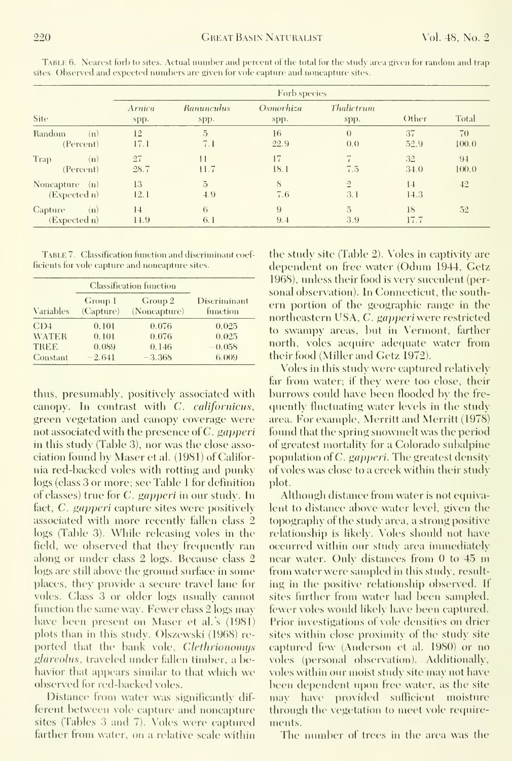|                                       | Forb species   |                           |                   |                            |            |             |
|---------------------------------------|----------------|---------------------------|-------------------|----------------------------|------------|-------------|
| Site                                  | Arnica<br>spp. | <b>Raminculus</b><br>spp. | Osmorhiza<br>spp. | Thalictrum<br>spp.         | Other      | Total       |
| Random<br>(n)<br>(Percent)            | 12<br>17.1     | $\overline{5}$<br>7.1     | 16<br>22.9        | $\left( \right)$<br>(0, 0) | 37<br>52.9 | 70<br>100.0 |
| Trap<br>(n)<br>(Percent)              | 27<br>28.7     | $\mathbf{1}$<br>11.7      | 17<br>18.1        | 7<br>7.5                   | 32<br>34.0 | 94<br>100.0 |
| Noneapture $(n)$<br>(Expected n)      | 13<br>12.1     | 5<br>4.9                  | 8<br>7.6          | $\overline{2}$<br>3.1      | 14<br>14.3 | 42          |
| <b>Capture</b><br>(n)<br>(Expected n) | 14<br>14.9     | 6<br>6.1                  | 9<br>9.4          | $\overline{5}$<br>3.9      | 18<br>17.7 | 52          |

TABLE 6. Nearest forb to sites. Actual number and percent of the total for the study area given for random and trap sites. Observed and expected numbers are given for vole capture and noncapture sites.

TABLE 7. Classification function and discriminant coefficients for vole eapture and noneapture sites.

|                  | <b>Classification function</b> |                         |                          |  |
|------------------|--------------------------------|-------------------------|--------------------------|--|
| <b>Variables</b> | Group 1<br>(Capture)           | Group 2<br>(Noneapture) | Discriminant<br>function |  |
| CD4              | 0.101                          | 0.076                   | 0.025                    |  |
| <b>WATER</b>     | 0.101                          | 0.076                   | 0.025                    |  |
| <b>TREE</b>      | 0.089                          | 0.146                   | $-0.058$                 |  |
| Constant         | $-2.641$                       | $-3.365$                | 6.009                    |  |

thus, presumably, positively associated with canopy. In contrast with C. californicus, green vegetation and canopy coverage were not associated with the presence of C. gapperi in this study (Table 3), nor was the close association found by Maser et al. (1981) of California red-backed voles with rotting and punky logs (class 3 or more; see Table 1 for definition of classes) true for *C. gapperi* in our study. In fact, *C. gapperi* capture sites were positively associated with more recently fallen class 2 logs (Table 3). While releasing voles in the field, we observed that they frequently ran along or under class 2 logs. Because class 2 logs are still above the ground surface in some places, they provide a secure travel lane for voles. Class 3 or older logs usually cannot function the same way. Fewer class 2 logs may have been present on Maser et al.'s (1981) plots than in this study. Olszewski (1968) reported that the bank vole, *Clethrionomys* glareolus, traveled under fallen timber, a behavior that appears similar to that which we observed for red-backed voles.

Distance from water was significantly different between vole capture and noncapture sites (Tables 3 and 7). Voles were captured farther from water, on a relative scale within the study site (Table 2). Voles in captivity are dependent on free water (Odum 1944, Getz 1968), unless their food is very succulent (personal observation). In Connecticut, the southern portion of the geographic range in the northeastern USA, C. gapperi were restricted to swampy areas, but in Vermont, farther north, voles acquire adequate water from their food (Miller and Getz 1972).

Voles in this study were captured relatively far from water; if they were too close, their burrows could have been flooded by the frequently fluctuating water levels in the study area. For example, Merritt and Merritt (1978) found that the spring snowmelt was the period of greatest mortality for a Colorado subalpine population of C. gapperi. The greatest density of voles was close to a creek within their study plot.

Although distance from water is not equivalent to distance above water level, given the topography of the study area, a strong positive relationship is likely. Voles should not have occurred within our study area immediately near water. Only distances from 0 to 45 m from water were sampled in this study, resulting in the positive relationship observed. If sites further from water had been sampled, fewer voles would likely have been captured. Prior investigations of vole densities on drier sites within close proximity of the study site captured few (Anderson et al. 1980) or no voles (personal observation). Additionally, voles within our moist study site may not have been dependent upon free water, as the site may have provided sufficient moisture through the vegetation to meet vole requirements.

The number of trees in the area was the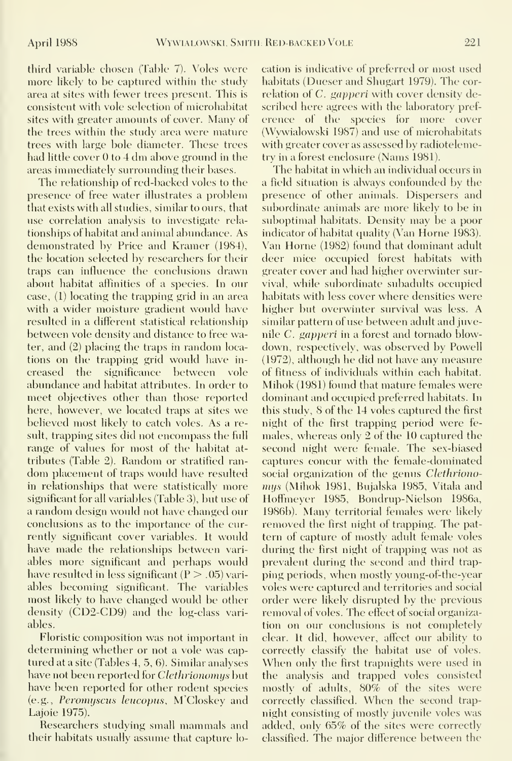third variable chosen (Table 7). Voles were more likely to be captured within the study area at sites with fewer trees present. This is consistent with vole selection of microhabitat sites with greater amounts of cover. Many of the trees within the study area were mature trees with large bole diameter. These trees had little cover  $0$  to  $4$  dm above ground in the areas immediately surrounding their bases.

The relationship of red-backed voles to the presence of free water illustrates a problem that exists with all studies, similar to ours, that use correlation analysis to investigate rela tionships of habitat and animal abimdance. As demonstrated by Price and Kramer (1984), the location selected by researchers for their traps can influence the conclusions drawn about habitat affinities of a species. In our case, (1) locating the trapping grid in an area with a wider moisture gradient would have resulted in a different statistical relationship between vole density and distance to free water, and (2) placing the traps in random loca tions on the trapping grid would have in creased the significance between vole abundance and habitat attributes. In order to meet objectives other than those reported here, however, we located traps at sites we believed most likely to catch voles. As a result, trapping sites did not encompass the full range of values for most of the habitat at tributes (Table 2). Random or stratified ran dom placement of traps would have resulted in relationships that were statistically more significant for all variables (Table 3), but use of a random design would not have changed our conclusions as to the importance of the currently significant cover variables. It would have made the relationships between vari ables more significant and perhaps would have resulted in less significant  $(P > .05)$  variables becoming significant. The variables most likely to have changed would be other density (CD2-CD9) and the log-class vari ables.

Floristic composition was not important in determining whether or not a vole was cap tured at a site (Tables 4, 5, 6). Similar analyses have not been reported for *Clethrionomys* but have been reported for other rodent species (e.g., *Peromyscus leucopus*, M'Closkey and Lajoie 1975).

Researchers studying small mammals and their habitats usually assume that capture location is indicative of preferred or most used habitats (Dueser and Shugart 1979). The correlation of C. gapperi with cover density described here agrees with the laboratory pref erence of the species for more cover (Wywialowski 1987) and use of microhabitats with greater cover as assessed by radiotelemetry in a forest enclosure (Nams 1981).

The habitat in which an individual occius in a field situation is always confounded by the presence of other animals. Dispersers and subordinate animals are more likely to be in suboptimal habitats. Density may be a poor indicator of habitat quality (Van Horne 1983). Van Home (1982) found that dominant adult deer mice occupied forest habitats with greater cover and had higher overwinter survival, while subordinate subadults occupied habitats with less cover where densities were higher but overwinter survival was less. A similar pattern of use between adult and juvenile C. gapperi in a forest and tornado blowdown, respectively, was observed by Powell (1972), although he did not have any measure of fitness of individuals within each habitat. Mihok (1981) found that mature females were dominant and occupied preferred habitats. In this study, 8 of the 14 voles captured the first night of the first trapping period were fe males, whereas only 2 of the 10 captured the second night were female. The sex-biased captures concur with the female-dominated social organization of the genus Clethrionomys (Mihok 1981, Bujalska 1985, Vitala and Hoffmeyer 1985, Bondrup-Nielson 1986a, 1986b). Many territorial females were likely removed the first night of trapping. The pat tern of capture of mostly adult female voles during the first night of trapping was not as prevalent during the second and third trapping periods, when mostly young-of-the-year voles were captured and territories and social order were likely disrupted by the previous removal of voles. The effect of social organization on our conclusions is not completely clear. It did, however, affect our ability to correctly classify the habitat use of voles. When only the first trapnights were used in the analysis and trapped voles consisted mostly of adults, 80% of the sites were correctly classified. When the second trapnight consisting of mostly juvenile voles was added, only 65% of the sites were correctly classified. The major difference between the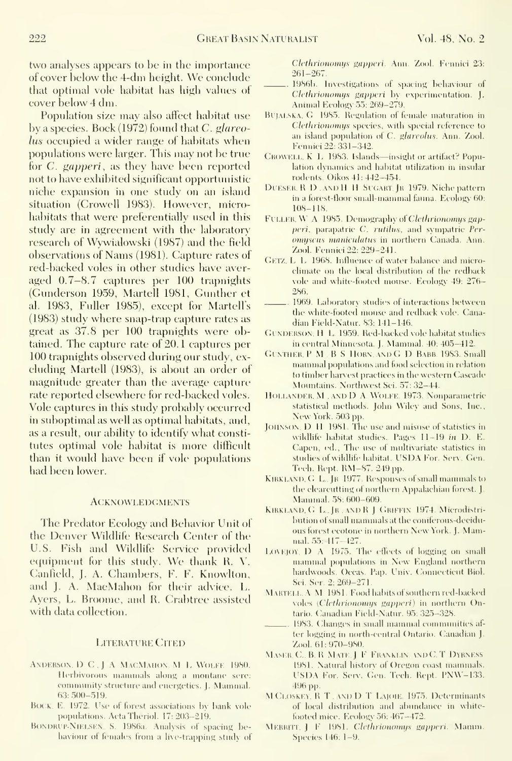two analyses appears to be in the importance of cover helow the 4-dm height. We conclude that optimal vole habitat has high values ot cover below 4 dm.

Population size may also affect habitat use by a species. Bock (1972) found that  $C.$  glareolus occupied <sup>a</sup> wider range ot habitats when populations were larger. This may not be true for C. gapperi, as they have been reported not to have exhibited significant opportunistic niche expansion in one study on an island situation (Crowell 1983). However, microhabitats that were preferentially used in this study are in agreement with the laboratory research of VVywialowski (1987) and the field observations of Nams (1981). Capture rates of red-backed voles in other studies have aver aged 0.7-8.7 captures per 100 trapnights (Gunderson 1959, Martell 1981, Gunther et al. 1983, Fuller 1985), except for Martell's (1983) study where snap-trap capture rates as great as 37.8 per 100 trapnights were obtained. The capture rate of 20.1 captures per 100 trapnights observed during our study, ex cluding Martell (1983), is about an order of magnitude greater than the average capture rate reported elsewhere for red-backed voles. Vole captures in this study probably occurred in suboptimal as well as optimal habitats, and, as a result, our ability to identify what consti tutes optimal vole habitat is more difficult than it would have been if vole populations had been lower.

#### ACKNOWLEDGMENTS

The Predator Ecology and Behavior Unit of the Denver Wildlife Research Center of the U.S. Fish and Wildlife Service provided equipment for this study. We thank K. V. Canfield, J. A. Chambers, F. F. Knowlton, and J. A. MacMahon for their advice. L. Ayers, L. Broome, and R. Crabtree assisted with data collection.

#### LITERATURE CITED

- ANDERSON, D.C. J.A. MACMAHON, M.L. WOLFE 1980. Herbivorous mammals along a montane sere: community structure and energetics. J. Mammal. 63:5{)()-519.
- BOCK. E. 1972. Use of forest associations by bank vole populations. ActaTlieriol. 17:203-219.
- BONDRUP-NIELSEN, S. 1986a. Analysis of spacing behaviour of females from a live-trapping study of

Clethrionomys gapperi. Ann. Zool. Fennici 23: 261-267.

- 1986b. Investigations of spacing behaviour of Clethrionomys gappert by experimentation. J. Animal Ecology 55: 269-279.
- BUJALSKA, G. 1985. Regulation of female maturation in Clethrionomys species, with special reference to an island population of C. glareolus. Ann. Zool. Fennici 22: 331-342.
- GROWELL, K. L. 1983. Islands—insight or artifact? Population dynamics and habitat utilization in insular rodents. Oikos 41: 442-454.
- DUESER, R D , AND H H SUGART. JR 1979. Niche pattern in a forest-floor small-mannnal fauna. Ecology 60: 108-118.
- FULLER, W A 1985. Demography of Clethrionomys gapperi, parapatric C. rutilus, and sympatric Peromyscus maniculatus in northern Canada. Ann. Zool. Fennici 22: 229-241.
- Getz. L L 1968. Influence of water balance and microclimate on the local distrilnition of the redback vole and white-footed mouse. Ecologv 49: 276- 286.
- 1969. Laboratory studies of interactions between the white-footed mouse and redback vole. Canadian Field-Natur. 83: 141-146.
- GUNDERSON, H. L. 1959. Red-backed vole habitat studies in central Minnesota. J. Mammal. 40: 405-412.
- GUNTHER, P M . B S HORN. AND G D BABB. 1983. Small mammal populations and food selection in relation to timber harvest practices in the western Cascade Mountains. Northwest Sci. 57: 32-44.
- Hollander, M , and D A Wolfe 1973. Nonparametric statistical methods. John Wiley and Sons, Inc., New York. 503 pp.
- JOHNSON, D. H. 1981. The use and misuse of statistics in wildlife habitat studies. Pages 11-19 in D. E. Capen, ed., The use of multivariate statistics in studies of wildlife habitat. USDA For. Serv. Gen. Tech. Rept. RM-87. 249 pp.
- KIRKLAND, G. L., JR 1977. Responses of small mammals to the clearcutting of northern Appalachian forest. J. Mammal. 58: 600-609.
- KIRKLAND, G. L., JR, ANDR J GRIFFIN 1974. Microdistribution of small nianuuals at the coniferous-decidu ous forest ecotone in northern New York. J. Mammal. 55 4 17-427.
- LOVEJOY,  $D \ A$  1975. The effects of logging on small mammal populations in New England northern hardwoods. Occas. Pap. Univ. Connecticut Biol. Sci. Ser. 2:269-271.
- MARTELL. A M 1981. Food habits of southern red-backed voles (Clethrionomys gapperi) in northern Ontario. Canadian Field-Natur. 95: 325-328.
- 1983. Changes in small mannual comnumities af ter logging in north-central Ontario. Canadian J. Zool, 61:970-980.
- MASER. C., B. R. MATE. J. F. FRANKLIN, AND C. T. DYRNESS. 1981. Natural historv of Oregon coast uuunmals. USDA For. Serv. Gen. Tech. Rept. PNW-133. 496 pp.
- M CLOSKEY, R.T. AND D.T. LAJOIE. 1975. Determinants of local distribution and abundance in whitelooted mice. Eeology 56: 467-472.
- MERRITT. J F 1981. Clethrionomys gapperi. Mamm. Species 146: 1-9.